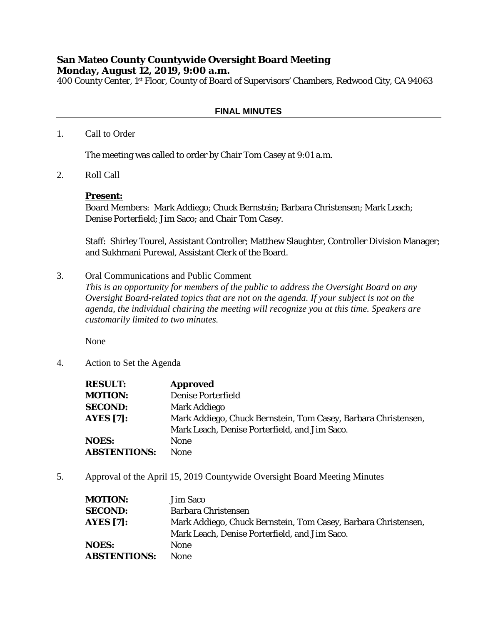# **San Mateo County Countywide Oversight Board Meeting Monday, August 12, 2019, 9:00 a.m.**

400 County Center, 1st Floor, County of Board of Supervisors' Chambers, Redwood City, CA 94063

## **FINAL MINUTES**

#### 1. Call to Order

The meeting was called to order by Chair Tom Casey at 9:01 a.m.

2. Roll Call

#### **Present:**

Board Members: Mark Addiego; Chuck Bernstein; Barbara Christensen; Mark Leach; Denise Porterfield; Jim Saco; and Chair Tom Casey.

Staff: Shirley Tourel, Assistant Controller; Matthew Slaughter, Controller Division Manager; and Sukhmani Purewal, Assistant Clerk of the Board.

### 3. Oral Communications and Public Comment

*This is an opportunity for members of the public to address the Oversight Board on any Oversight Board-related topics that are not on the agenda. If your subject is not on the agenda, the individual chairing the meeting will recognize you at this time. Speakers are customarily limited to two minutes.*

None

4. Action to Set the Agenda

| <b>RESULT:</b>      | <b>Approved</b>                                                |
|---------------------|----------------------------------------------------------------|
| <b>MOTION:</b>      | <b>Denise Porterfield</b>                                      |
| <b>SECOND:</b>      | Mark Addiego                                                   |
| <b>AYES</b> [7]:    | Mark Addiego, Chuck Bernstein, Tom Casey, Barbara Christensen, |
|                     | Mark Leach, Denise Porterfield, and Jim Saco.                  |
| <b>NOES:</b>        | <b>None</b>                                                    |
| <b>ABSTENTIONS:</b> | <b>None</b>                                                    |

5. Approval of the April 15, 2019 Countywide Oversight Board Meeting Minutes

| <b>MOTION:</b>      | Jim Saco                                                       |
|---------------------|----------------------------------------------------------------|
| <b>SECOND:</b>      | Barbara Christensen                                            |
| <b>AYES [7]:</b>    | Mark Addiego, Chuck Bernstein, Tom Casey, Barbara Christensen, |
|                     | Mark Leach, Denise Porterfield, and Jim Saco.                  |
| <b>NOES:</b>        | <b>None</b>                                                    |
| <b>ABSTENTIONS:</b> | <b>None</b>                                                    |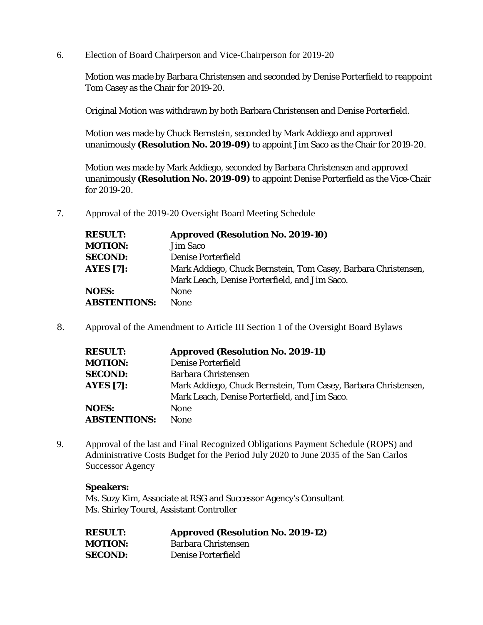6. Election of Board Chairperson and Vice-Chairperson for 2019-20

Motion was made by Barbara Christensen and seconded by Denise Porterfield to reappoint Tom Casey as the Chair for 2019-20.

Original Motion was withdrawn by both Barbara Christensen and Denise Porterfield.

Motion was made by Chuck Bernstein, seconded by Mark Addiego and approved unanimously **(Resolution No. 2019-09)** to appoint Jim Saco as the Chair for 2019-20.

Motion was made by Mark Addiego, seconded by Barbara Christensen and approved unanimously **(Resolution No. 2019-09)** to appoint Denise Porterfield as the Vice-Chair for 2019-20.

7. Approval of the 2019-20 Oversight Board Meeting Schedule

| <b>RESULT:</b>      | <b>Approved (Resolution No. 2019-10)</b>                       |
|---------------------|----------------------------------------------------------------|
| <b>MOTION:</b>      | <b>Jim Saco</b>                                                |
| <b>SECOND:</b>      | Denise Porterfield                                             |
| <b>AYES</b> [7]:    | Mark Addiego, Chuck Bernstein, Tom Casey, Barbara Christensen, |
|                     | Mark Leach, Denise Porterfield, and Jim Saco.                  |
| <b>NOES:</b>        | None                                                           |
| <b>ABSTENTIONS:</b> | <b>None</b>                                                    |

8. Approval of the Amendment to Article III Section 1 of the Oversight Board Bylaws

| <b>RESULT:</b>      | <b>Approved (Resolution No. 2019-11)</b>                       |
|---------------------|----------------------------------------------------------------|
| <b>MOTION:</b>      | <b>Denise Porterfield</b>                                      |
| <b>SECOND:</b>      | <b>Barbara Christensen</b>                                     |
| <b>AYES</b> [7]:    | Mark Addiego, Chuck Bernstein, Tom Casey, Barbara Christensen, |
|                     | Mark Leach, Denise Porterfield, and Jim Saco.                  |
| <b>NOES:</b>        | None                                                           |
| <b>ABSTENTIONS:</b> | <b>None</b>                                                    |

9. Approval of the last and Final Recognized Obligations Payment Schedule (ROPS) and Administrative Costs Budget for the Period July 2020 to June 2035 of the San Carlos Successor Agency

## **Speakers:**

Ms. Suzy Kim, Associate at RSG and Successor Agency's Consultant Ms. Shirley Tourel, Assistant Controller

| <b>RESULT:</b> | <b>Approved (Resolution No. 2019-12)</b> |
|----------------|------------------------------------------|
| <b>MOTION:</b> | Barbara Christensen                      |
| <b>SECOND:</b> | Denise Porterfield                       |